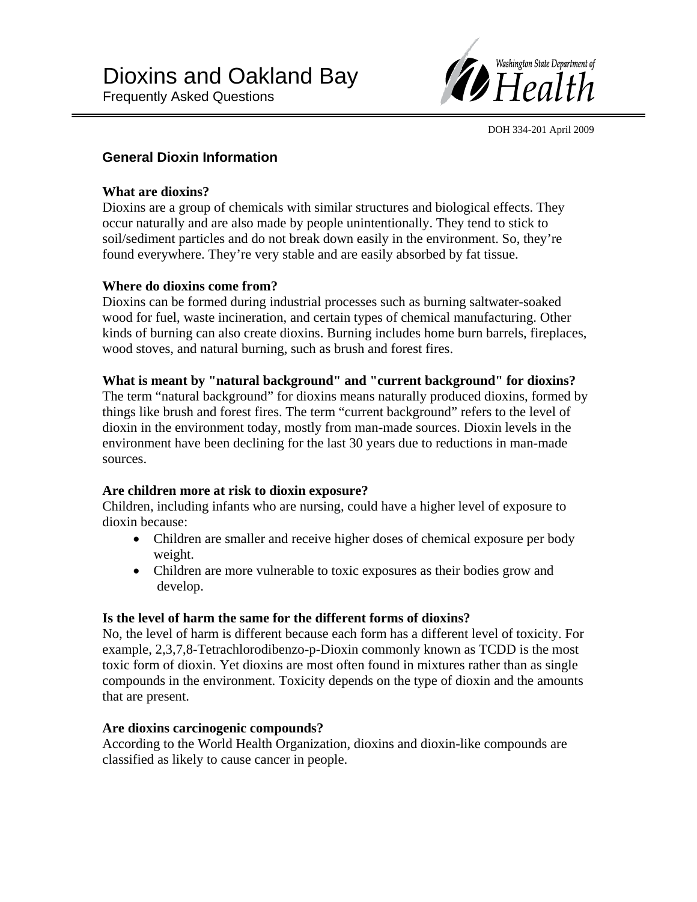

DOH 334-201 April 2009

# **General Dioxin Information**

### **What are dioxins?**

Dioxins are a group of chemicals with similar structures and biological effects. They occur naturally and are also made by people unintentionally. They tend to stick to soil/sediment particles and do not break down easily in the environment. So, they're found everywhere. They're very stable and are easily absorbed by fat tissue.

## **Where do dioxins come from?**

Dioxins can be formed during industrial processes such as burning saltwater-soaked wood for fuel, waste incineration, and certain types of chemical manufacturing. Other kinds of burning can also create dioxins. Burning includes home burn barrels, fireplaces, wood stoves, and natural burning, such as brush and forest fires.

#### **What is meant by "natural background" and "current background" for dioxins?**

The term "natural background" for dioxins means naturally produced dioxins, formed by things like brush and forest fires. The term "current background" refers to the level of dioxin in the environment today, mostly from man-made sources. Dioxin levels in the environment have been declining for the last 30 years due to reductions in man-made sources.

## **Are children more at risk to dioxin exposure?**

Children, including infants who are nursing, could have a higher level of exposure to dioxin because:

- Children are smaller and receive higher doses of chemical exposure per body weight.
- Children are more vulnerable to toxic exposures as their bodies grow and develop.

## **Is the level of harm the same for the different forms of dioxins?**

No, the level of harm is different because each form has a different level of toxicity. For example, 2,3,7,8-Tetrachlorodibenzo-p-Dioxin commonly known as TCDD is the most toxic form of dioxin. Yet dioxins are most often found in mixtures rather than as single compounds in the environment. Toxicity depends on the type of dioxin and the amounts that are present.

## **Are dioxins carcinogenic compounds?**

According to the World Health Organization, dioxins and dioxin-like compounds are classified as likely to cause cancer in people.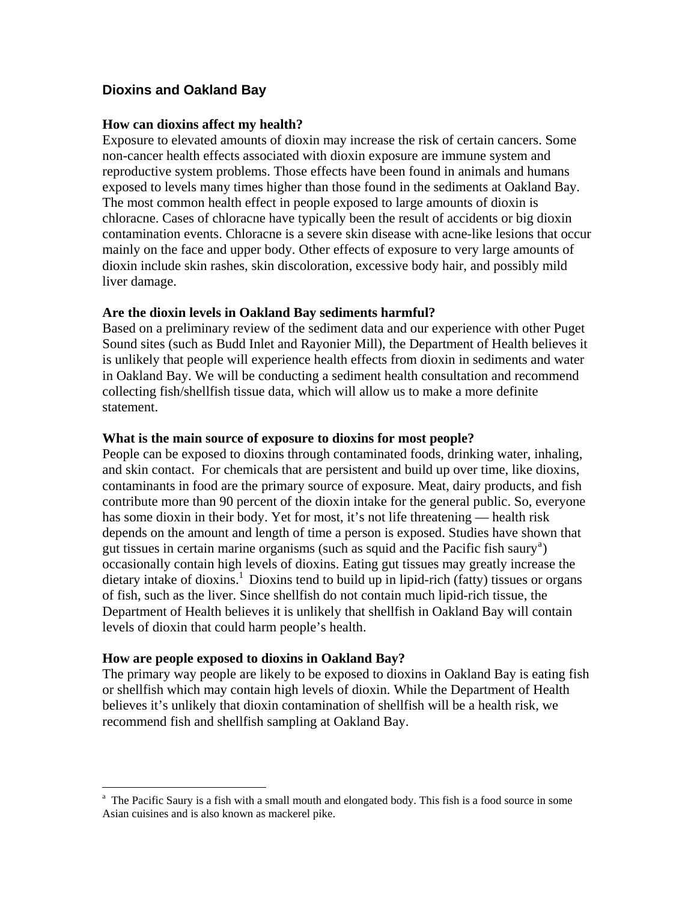## **Dioxins and Oakland Bay**

#### **How can dioxins affect my health?**

Exposure to elevated amounts of dioxin may increase the risk of certain cancers. Some non-cancer health effects associated with dioxin exposure are immune system and reproductive system problems. Those effects have been found in animals and humans exposed to levels many times higher than those found in the sediments at Oakland Bay. The most common health effect in people exposed to large amounts of dioxin is chloracne. Cases of chloracne have typically been the result of accidents or big dioxin contamination events. Chloracne is a severe skin disease with acne-like lesions that occur mainly on the face and upper body. Other effects of exposure to very large amounts of dioxin include skin rashes, skin discoloration, excessive body hair, and possibly mild liver damage.

### **Are the dioxin levels in Oakland Bay sediments harmful?**

Based on a preliminary review of the sediment data and our experience with other Puget Sound sites (such as Budd Inlet and Rayonier Mill), the Department of Health believes it is unlikely that people will experience health effects from dioxin in sediments and water in Oakland Bay. We will be conducting a sediment health consultation and recommend collecting fish/shellfish tissue data, which will allow us to make a more definite statement.

### **What is the main source of exposure to dioxins for most people?**

People can be exposed to dioxins through contaminated foods, drinking water, inhaling, and skin contact. For chemicals that are persistent and build up over time, like dioxins, contaminants in food are the primary source of exposure. Meat, dairy products, and fish contribute more than 90 percent of the dioxin intake for the general public. So, everyone has some dioxin in their body. Yet for most, it's not life threatening — health risk depends on the amount and length of time a person is exposed. Studies have shown that gut tissues in cert[a](#page-1-0)in marine organisms (such as squid and the Pacific fish saury<sup>a</sup>) occasionally contain high levels of dioxins. Eating gut tissues may greatly increase the dietary intake of dioxins.<sup>1</sup> Dioxins tend to build up in lipid-rich (fatty) tissues or organs of fish, such as the liver. Since shellfish do not contain much lipid-rich tissue, the Department of Health believes it is unlikely that shellfish in Oakland Bay will contain levels of dioxin that could harm people's health.

#### **How are people exposed to dioxins in Oakland Bay?**

 $\overline{a}$ 

The primary way people are likely to be exposed to dioxins in Oakland Bay is eating fish or shellfish which may contain high levels of dioxin. While the Department of Health believes it's unlikely that dioxin contamination of shellfish will be a health risk, we recommend fish and shellfish sampling at Oakland Bay.

<span id="page-1-0"></span><sup>&</sup>lt;sup>a</sup> The Pacific Saury is a fish with a small mouth and elongated body. This fish is a food source in some Asian cuisines and is also known as mackerel pike.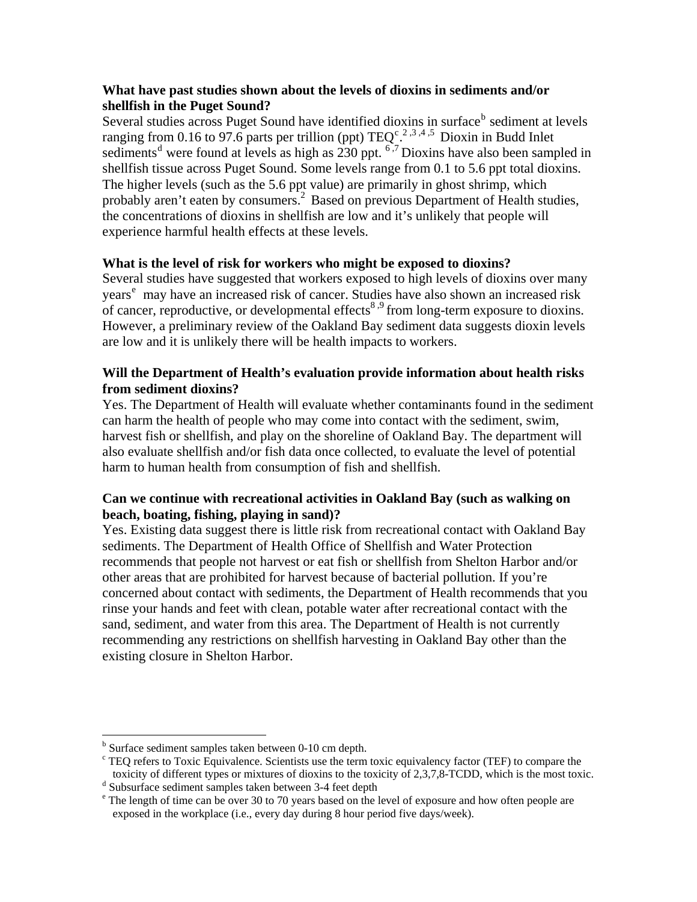## **What have past studies shown about the levels of dioxins in sediments and/or shellfish in the Puget Sound?**

Several studies across Puget Sound have identified dioxins in surface<sup>[b](#page-2-0)</sup> sediment at levels ranging from 0.16 to 97.6 parts per trillion (ppt)  $TEQ^{c}$  $TEQ^{c}$  $TEQ^{c}$ <sup>2,3,4,5</sup> Dioxin in Budd Inlet se[d](#page-2-2)iments<sup>d</sup> were found at levels as high as  $230$  ppt.  $6.7$  Dioxins have also been sampled in shellfish tissue across Puget Sound. Some levels range from 0.1 to 5.6 ppt total dioxins. The higher levels (such as the 5.6 ppt value) are primarily in ghost shrimp, which probably aren't eaten by consumers.<sup>2</sup> Based on previous Department of Health studies, the concentrations of dioxins in shellfish are low and it's unlikely that people will experience harmful health effects at these levels.

# **What is the level of risk for workers who might be exposed to dioxins?**

Several studies have suggested that workers exposed to high levels of dioxins over many y[e](#page-2-3)ars<sup>e</sup> may have an increased risk of cancer. Studies have also shown an increased risk of cancer, reproductive, or developmental effects<sup>8,9</sup> from long-term exposure to dioxins. However, a preliminary review of the Oakland Bay sediment data suggests dioxin levels are low and it is unlikely there will be health impacts to workers.

## **Will the Department of Health's evaluation provide information about health risks from sediment dioxins?**

Yes. The Department of Health will evaluate whether contaminants found in the sediment can harm the health of people who may come into contact with the sediment, swim, harvest fish or shellfish, and play on the shoreline of Oakland Bay. The department will also evaluate shellfish and/or fish data once collected, to evaluate the level of potential harm to human health from consumption of fish and shellfish.

# **Can we continue with recreational activities in Oakland Bay (such as walking on beach, boating, fishing, playing in sand)?**

Yes. Existing data suggest there is little risk from recreational contact with Oakland Bay sediments. The Department of Health Office of Shellfish and Water Protection recommends that people not harvest or eat fish or shellfish from Shelton Harbor and/or other areas that are prohibited for harvest because of bacterial pollution. If you're concerned about contact with sediments, the Department of Health recommends that you rinse your hands and feet with clean, potable water after recreational contact with the sand, sediment, and water from this area. The Department of Health is not currently recommending any restrictions on shellfish harvesting in Oakland Bay other than the existing closure in Shelton Harbor.

 $\overline{a}$ 

<span id="page-2-1"></span><span id="page-2-0"></span><sup>&</sup>lt;sup>b</sup> Surface sediment samples taken between 0-10 cm depth.

<sup>&</sup>lt;sup>c</sup> TEQ refers to Toxic Equivalence. Scientists use the term toxic equivalency factor (TEF) to compare the toxicity of different types or mixtures of dioxins to the toxicity of 2,3,7,8-TCDD, which is the most toxic.

<span id="page-2-2"></span><sup>&</sup>lt;sup>d</sup> Subsurface sediment samples taken between 3-4 feet depth

<span id="page-2-3"></span><sup>&</sup>lt;sup>e</sup> The length of time can be over 30 to 70 years based on the level of exposure and how often people are exposed in the workplace (i.e., every day during 8 hour period five days/week).